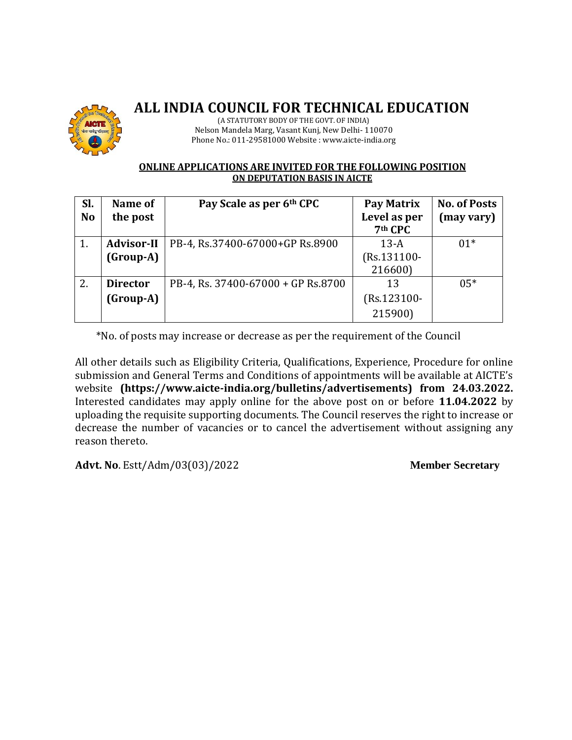

## **ALL INDIA COUNCIL FOR TECHNICAL EDUCATION**

(A STATUTORY BODY OF THE GOVT. OF INDIA) Nelson Mandela Marg, Vasant Kunj, New Delhi- 110070 Phone No.: 011-29581000 Website : www.aicte-india.org

## **ONLINE APPLICATIONS ARE INVITED FOR THE FOLLOWING POSITION ON DEPUTATION BASIS IN AICTE**

| SI.       | Name of           | Pay Scale as per 6th CPC           | Pay Matrix   | <b>No. of Posts</b> |
|-----------|-------------------|------------------------------------|--------------|---------------------|
| <b>No</b> | the post          |                                    | Level as per | (may vary)          |
|           |                   |                                    | 7th CPC      |                     |
| 1.        | <b>Advisor-II</b> | PB-4, Rs.37400-67000+GP Rs.8900    | $13-A$       | $01*$               |
|           | (Group-A)         |                                    | (Rs.131100-  |                     |
|           |                   |                                    | 216600)      |                     |
| 2.        | <b>Director</b>   | PB-4, Rs. 37400-67000 + GP Rs.8700 | 13           | $0.5*$              |
|           | (Group-A)         |                                    | (Rs.123100-  |                     |
|           |                   |                                    | 215900)      |                     |

\*No. of posts may increase or decrease as per the requirement of the Council

All other details such as Eligibility Criteria, Qualifications, Experience, Procedure for online submission and General Terms and Conditions of appointments will be available at AICTE's website **(https://www.aicte-india.org/bulletins/advertisements) from 24.03.2022.**  Interested candidates may apply online for the above post on or before **11.04.2022** by uploading the requisite supporting documents. The Council reserves the right to increase or decrease the number of vacancies or to cancel the advertisement without assigning any reason thereto.

**Advt. No**. Estt/Adm/03(03)/2022 **Member Secretary**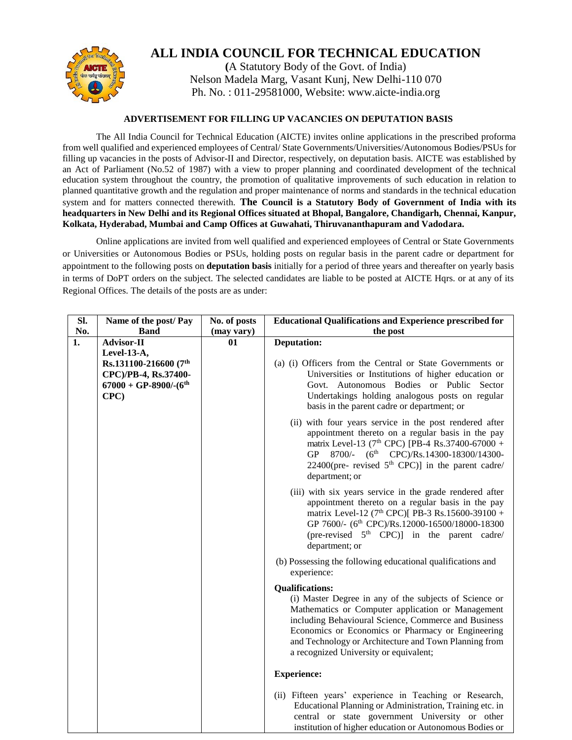

## **ALL INDIA COUNCIL FOR TECHNICAL EDUCATION**

**A** Statutory Body of the Govt. of India) Nelson Madela Marg, Vasant Kunj, New Delhi-110 070 Ph. No. : 011-29581000, Website: www.aicte-india.org

## **ADVERTISEMENT FOR FILLING UP VACANCIES ON DEPUTATION BASIS**

The All India Council for Technical Education (AICTE) invites online applications in the prescribed proforma from well qualified and experienced employees of Central/ State Governments/Universities/Autonomous Bodies/PSUs for filling up vacancies in the posts of Advisor-II and Director, respectively, on deputation basis. AICTE was established by an Act of Parliament (No.52 of 1987) with a view to proper planning and coordinated development of the technical education system throughout the country, the promotion of qualitative improvements of such education in relation to planned quantitative growth and the regulation and proper maintenance of norms and standards in the technical education system and for matters connected therewith. **The Council is a Statutory Body of Government of India with its headquarters in New Delhi and its Regional Offices situated at Bhopal, Bangalore, Chandigarh, Chennai, Kanpur, Kolkata, Hyderabad, Mumbai and Camp Offices at Guwahati, Thiruvananthapuram and Vadodara.** 

Online applications are invited from well qualified and experienced employees of Central or State Governments or Universities or Autonomous Bodies or PSUs, holding posts on regular basis in the parent cadre or department for appointment to the following posts on **deputation basis** initially for a period of three years and thereafter on yearly basis in terms of DoPT orders on the subject. The selected candidates are liable to be posted at AICTE Hqrs. or at any of its Regional Offices. The details of the posts are as under:

| SI. | Name of the post/ Pay    | No. of posts | <b>Educational Qualifications and Experience prescribed for</b>                                                                                                                                                                                                                                                             |
|-----|--------------------------|--------------|-----------------------------------------------------------------------------------------------------------------------------------------------------------------------------------------------------------------------------------------------------------------------------------------------------------------------------|
| No. | <b>Band</b>              | (may vary)   | the post                                                                                                                                                                                                                                                                                                                    |
| 1.  | <b>Advisor-II</b>        | 01           | <b>Deputation:</b>                                                                                                                                                                                                                                                                                                          |
|     | Level-13-A,              |              |                                                                                                                                                                                                                                                                                                                             |
|     | Rs.131100-216600 (7th    |              | (a) (i) Officers from the Central or State Governments or                                                                                                                                                                                                                                                                   |
|     | CPC)/PB-4, Rs.37400-     |              | Universities or Institutions of higher education or                                                                                                                                                                                                                                                                         |
|     | $67000 + GP-8900/-(6th)$ |              | Govt. Autonomous Bodies or Public Sector                                                                                                                                                                                                                                                                                    |
|     | CPC)                     |              | Undertakings holding analogous posts on regular                                                                                                                                                                                                                                                                             |
|     |                          |              | basis in the parent cadre or department; or                                                                                                                                                                                                                                                                                 |
|     |                          |              | (ii) with four years service in the post rendered after<br>appointment thereto on a regular basis in the pay<br>matrix Level-13 (7 <sup>th</sup> CPC) [PB-4 Rs.37400-67000 +<br>GP 8700/- (6 <sup>th</sup> CPC)/Rs.14300-18300/14300-<br>22400(pre- revised $5th$ CPC)] in the parent cadre/<br>department; or              |
|     |                          |              | (iii) with six years service in the grade rendered after<br>appointment thereto on a regular basis in the pay<br>matrix Level-12 (7 <sup>th</sup> CPC)[ PB-3 Rs.15600-39100 +<br>GP 7600/- (6 <sup>th</sup> CPC)/Rs.12000-16500/18000-18300<br>(pre-revised 5 <sup>th</sup> CPC)] in the parent cadre/<br>department; or    |
|     |                          |              | (b) Possessing the following educational qualifications and<br>experience:                                                                                                                                                                                                                                                  |
|     |                          |              | <b>Qualifications:</b>                                                                                                                                                                                                                                                                                                      |
|     |                          |              | (i) Master Degree in any of the subjects of Science or<br>Mathematics or Computer application or Management<br>including Behavioural Science, Commerce and Business<br>Economics or Economics or Pharmacy or Engineering<br>and Technology or Architecture and Town Planning from<br>a recognized University or equivalent; |
|     |                          |              | <b>Experience:</b>                                                                                                                                                                                                                                                                                                          |
|     |                          |              | (ii) Fifteen years' experience in Teaching or Research,<br>Educational Planning or Administration, Training etc. in<br>central or state government University or other<br>institution of higher education or Autonomous Bodies or                                                                                           |